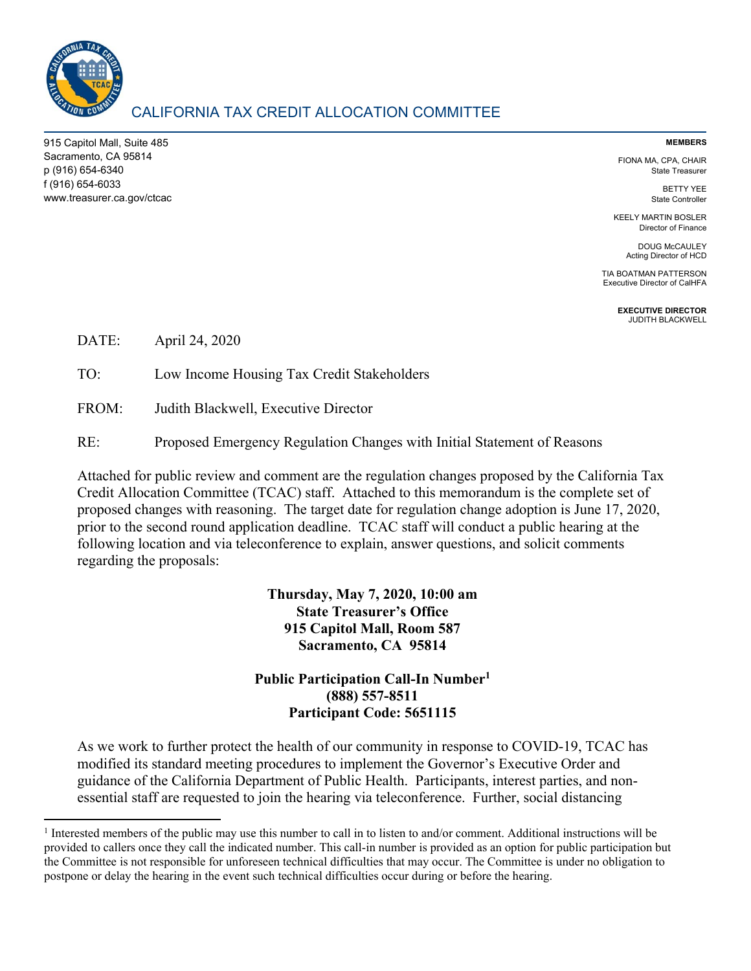

 $\overline{a}$ 

# CALIFORNIA TAX CREDIT ALLOCATION COMMITTEE

915 Capitol Mall, Suite 485 Sacramento, CA 95814 p (916) 654-6340 f (916) 654-6033 www.treasurer.ca.gov/ctcac

#### **MEMBERS**

FIONA MA, CPA, CHAIR State Treasurer

> BETTY YEE State Controller

KEELY MARTIN BOSLER Director of Finance

DOUG McCAULEY Acting Director of HCD

TIA BOATMAN PATTERSON Executive Director of CalHFA

> **EXECUTIVE DIRECTOR**  JUDITH BLACKWELL

DATE: April 24, 2020

TO: Low Income Housing Tax Credit Stakeholders

FROM: Judith Blackwell, Executive Director

RE: Proposed Emergency Regulation Changes with Initial Statement of Reasons

Attached for public review and comment are the regulation changes proposed by the California Tax Credit Allocation Committee (TCAC) staff. Attached to this memorandum is the complete set of proposed changes with reasoning. The target date for regulation change adoption is June 17, 2020, prior to the second round application deadline. TCAC staff will conduct a public hearing at the following location and via teleconference to explain, answer questions, and solicit comments regarding the proposals:

> **Thursday, May 7, 2020, 10:00 am State Treasurer's Office 915 Capitol Mall, Room 587 Sacramento, CA 95814**

**Public Participation Call-In Number1 (888) 557-8511 Participant Code: 5651115** 

As we work to further protect the health of our community in response to COVID-19, TCAC has modified its standard meeting procedures to implement the Governor's Executive Order and guidance of the California Department of Public Health. Participants, interest parties, and nonessential staff are requested to join the hearing via teleconference. Further, social distancing

<sup>&</sup>lt;sup>1</sup> Interested members of the public may use this number to call in to listen to and/or comment. Additional instructions will be provided to callers once they call the indicated number. This call-in number is provided as an option for public participation but the Committee is not responsible for unforeseen technical difficulties that may occur. The Committee is under no obligation to postpone or delay the hearing in the event such technical difficulties occur during or before the hearing.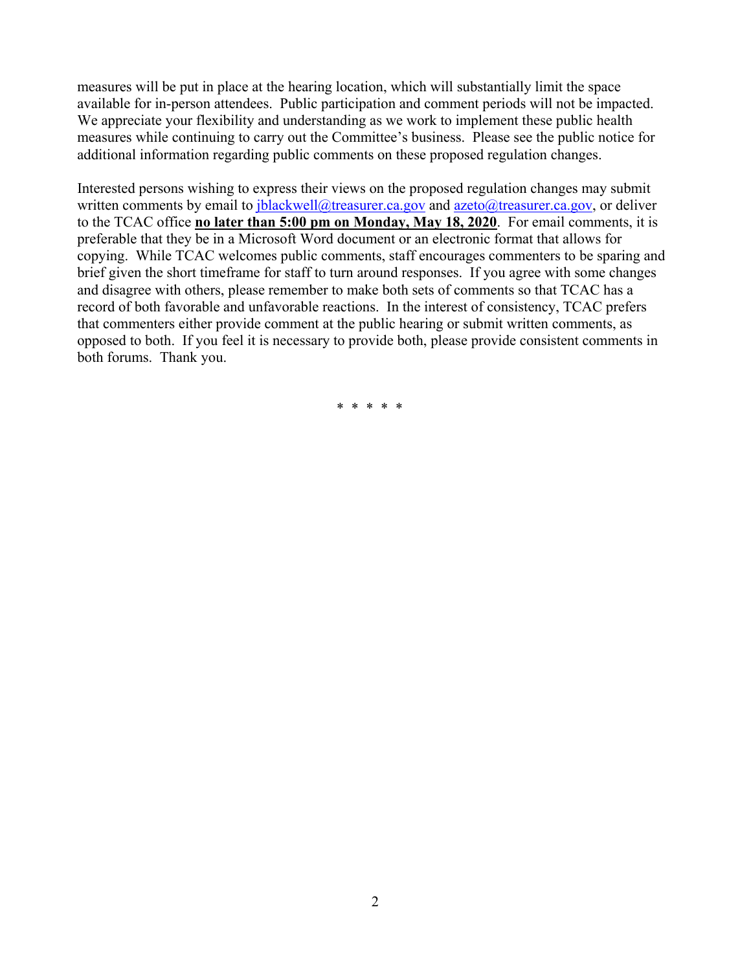measures will be put in place at the hearing location, which will substantially limit the space available for in-person attendees. Public participation and comment periods will not be impacted. We appreciate your flexibility and understanding as we work to implement these public health measures while continuing to carry out the Committee's business. Please see the public notice for additional information regarding public comments on these proposed regulation changes.

Interested persons wishing to express their views on the proposed regulation changes may submit written comments by email to  $\frac{i}{2}$  blackwell@treasurer.ca.gov and azeto@treasurer.ca.gov, or deliver to the TCAC office **no later than 5:00 pm on Monday, May 18, 2020**. For email comments, it is preferable that they be in a Microsoft Word document or an electronic format that allows for copying. While TCAC welcomes public comments, staff encourages commenters to be sparing and brief given the short timeframe for staff to turn around responses. If you agree with some changes and disagree with others, please remember to make both sets of comments so that TCAC has a record of both favorable and unfavorable reactions. In the interest of consistency, TCAC prefers that commenters either provide comment at the public hearing or submit written comments, as opposed to both. If you feel it is necessary to provide both, please provide consistent comments in both forums. Thank you.

\* \* \* \* \*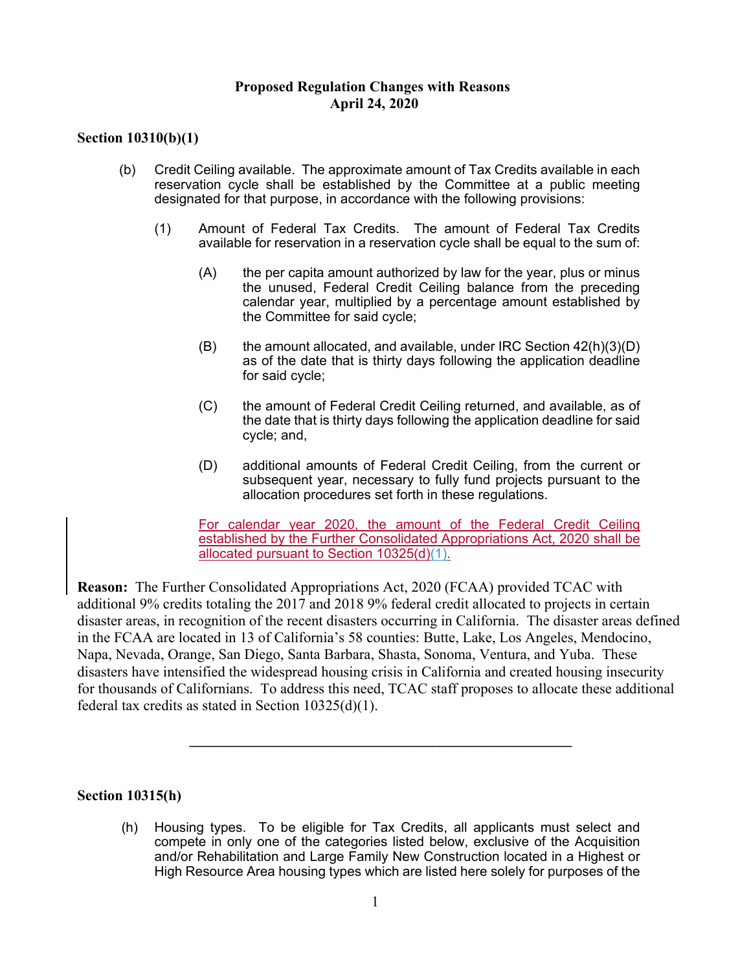#### **Proposed Regulation Changes with Reasons April 24, 2020**

### **Section 10310(b)(1)**

- (b) Credit Ceiling available. The approximate amount of Tax Credits available in each reservation cycle shall be established by the Committee at a public meeting designated for that purpose, in accordance with the following provisions:
	- (1) Amount of Federal Tax Credits. The amount of Federal Tax Credits available for reservation in a reservation cycle shall be equal to the sum of:
		- (A) the per capita amount authorized by law for the year, plus or minus the unused, Federal Credit Ceiling balance from the preceding calendar year, multiplied by a percentage amount established by the Committee for said cycle;
		- $(B)$  the amount allocated, and available, under IRC Section  $42(h)(3)(D)$ as of the date that is thirty days following the application deadline for said cycle;
		- (C) the amount of Federal Credit Ceiling returned, and available, as of the date that is thirty days following the application deadline for said cycle; and,
		- (D) additional amounts of Federal Credit Ceiling, from the current or subsequent year, necessary to fully fund projects pursuant to the allocation procedures set forth in these regulations.

For calendar year 2020, the amount of the Federal Credit Ceiling established by the Further Consolidated Appropriations Act, 2020 shall be allocated pursuant to Section 10325(d)(1).

**Reason:** The Further Consolidated Appropriations Act, 2020 (FCAA) provided TCAC with additional 9% credits totaling the 2017 and 2018 9% federal credit allocated to projects in certain disaster areas, in recognition of the recent disasters occurring in California. The disaster areas defined in the FCAA are located in 13 of California's 58 counties: Butte, Lake, Los Angeles, Mendocino, Napa, Nevada, Orange, San Diego, Santa Barbara, Shasta, Sonoma, Ventura, and Yuba. These disasters have intensified the widespread housing crisis in California and created housing insecurity for thousands of Californians. To address this need, TCAC staff proposes to allocate these additional federal tax credits as stated in Section 10325(d)(1).

**\_\_\_\_\_\_\_\_\_\_\_\_\_\_\_\_\_\_\_\_\_\_\_\_\_\_\_\_\_\_\_\_\_\_\_\_\_\_\_\_\_\_\_\_\_\_\_\_\_\_\_\_** 

#### **Section 10315(h)**

(h) Housing types. To be eligible for Tax Credits, all applicants must select and compete in only one of the categories listed below, exclusive of the Acquisition and/or Rehabilitation and Large Family New Construction located in a Highest or High Resource Area housing types which are listed here solely for purposes of the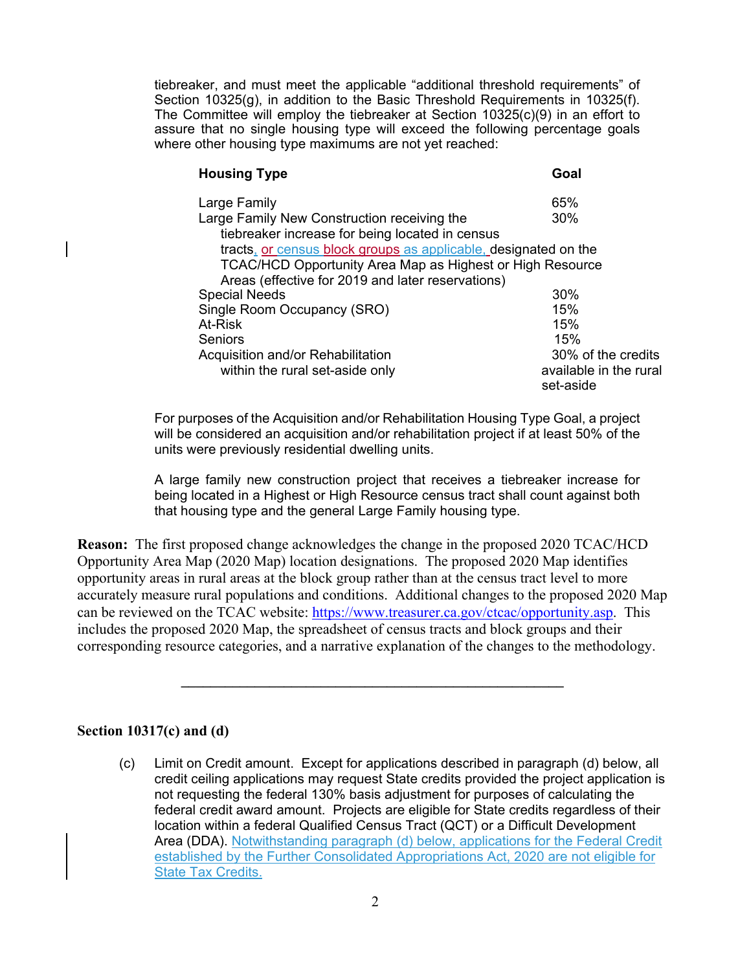tiebreaker, and must meet the applicable "additional threshold requirements" of Section 10325(g), in addition to the Basic Threshold Requirements in 10325(f). The Committee will employ the tiebreaker at Section 10325(c)(9) in an effort to assure that no single housing type will exceed the following percentage goals where other housing type maximums are not yet reached:

|                                                                 | <b>Housing Type</b>                                       | Goal                                |
|-----------------------------------------------------------------|-----------------------------------------------------------|-------------------------------------|
|                                                                 | Large Family                                              | 65%                                 |
|                                                                 | Large Family New Construction receiving the               | 30%                                 |
|                                                                 | tiebreaker increase for being located in census           |                                     |
| tracts, or census block groups as applicable, designated on the |                                                           |                                     |
|                                                                 | TCAC/HCD Opportunity Area Map as Highest or High Resource |                                     |
|                                                                 | Areas (effective for 2019 and later reservations)         |                                     |
|                                                                 | <b>Special Needs</b>                                      | 30%                                 |
|                                                                 | Single Room Occupancy (SRO)                               | 15%                                 |
|                                                                 | At-Risk                                                   | 15%                                 |
|                                                                 | Seniors                                                   | 15%                                 |
|                                                                 | Acquisition and/or Rehabilitation                         | 30% of the credits                  |
|                                                                 | within the rural set-aside only                           | available in the rural<br>set-aside |

For purposes of the Acquisition and/or Rehabilitation Housing Type Goal, a project will be considered an acquisition and/or rehabilitation project if at least 50% of the units were previously residential dwelling units.

A large family new construction project that receives a tiebreaker increase for being located in a Highest or High Resource census tract shall count against both that housing type and the general Large Family housing type.

**Reason:** The first proposed change acknowledges the change in the proposed 2020 TCAC/HCD Opportunity Area Map (2020 Map) location designations. The proposed 2020 Map identifies opportunity areas in rural areas at the block group rather than at the census tract level to more accurately measure rural populations and conditions. Additional changes to the proposed 2020 Map can be reviewed on the TCAC website: https://www.treasurer.ca.gov/ctcac/opportunity.asp. This includes the proposed 2020 Map, the spreadsheet of census tracts and block groups and their corresponding resource categories, and a narrative explanation of the changes to the methodology.

**\_\_\_\_\_\_\_\_\_\_\_\_\_\_\_\_\_\_\_\_\_\_\_\_\_\_\_\_\_\_\_\_\_\_\_\_\_\_\_\_\_\_\_\_\_\_\_\_\_\_\_\_** 

#### **Section 10317(c) and (d)**

(c) Limit on Credit amount. Except for applications described in paragraph (d) below, all credit ceiling applications may request State credits provided the project application is not requesting the federal 130% basis adjustment for purposes of calculating the federal credit award amount. Projects are eligible for State credits regardless of their location within a federal Qualified Census Tract (QCT) or a Difficult Development Area (DDA). Notwithstanding paragraph (d) below, applications for the Federal Credit established by the Further Consolidated Appropriations Act, 2020 are not eligible for State Tax Credits.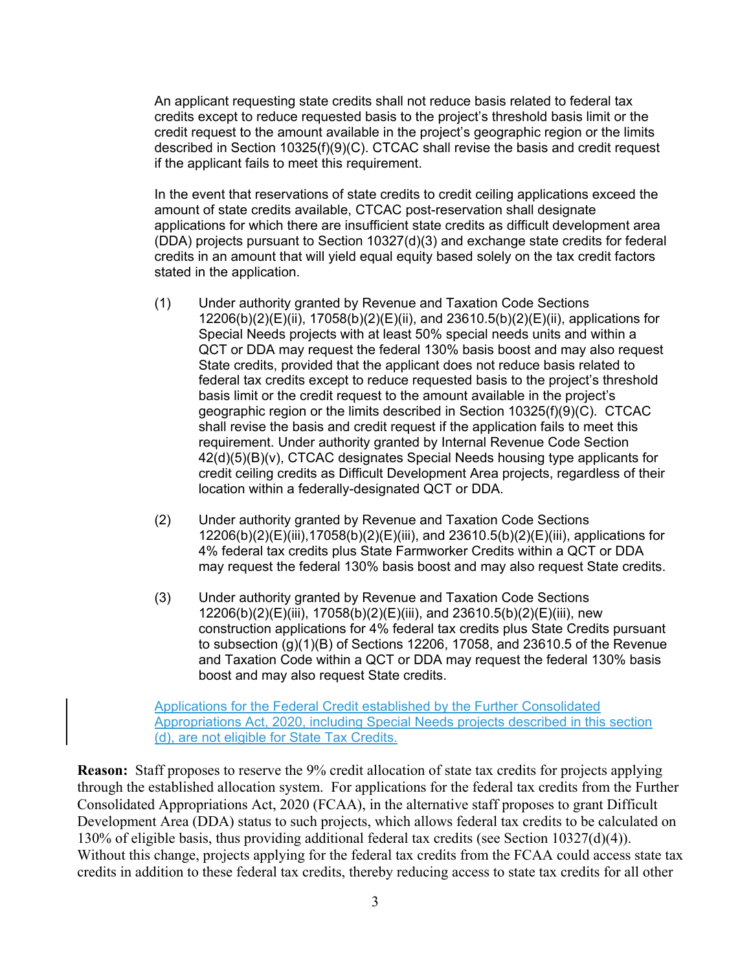An applicant requesting state credits shall not reduce basis related to federal tax credits except to reduce requested basis to the project's threshold basis limit or the credit request to the amount available in the project's geographic region or the limits described in Section 10325(f)(9)(C). CTCAC shall revise the basis and credit request if the applicant fails to meet this requirement.

In the event that reservations of state credits to credit ceiling applications exceed the amount of state credits available, CTCAC post-reservation shall designate applications for which there are insufficient state credits as difficult development area (DDA) projects pursuant to Section 10327(d)(3) and exchange state credits for federal credits in an amount that will yield equal equity based solely on the tax credit factors stated in the application.

- (1) Under authority granted by Revenue and Taxation Code Sections 12206(b)(2)(E)(ii), 17058(b)(2)(E)(ii), and 23610.5(b)(2)(E)(ii), applications for Special Needs projects with at least 50% special needs units and within a QCT or DDA may request the federal 130% basis boost and may also request State credits, provided that the applicant does not reduce basis related to federal tax credits except to reduce requested basis to the project's threshold basis limit or the credit request to the amount available in the project's geographic region or the limits described in Section 10325(f)(9)(C). CTCAC shall revise the basis and credit request if the application fails to meet this requirement. Under authority granted by Internal Revenue Code Section 42(d)(5)(B)(v), CTCAC designates Special Needs housing type applicants for credit ceiling credits as Difficult Development Area projects, regardless of their location within a federally-designated QCT or DDA.
- (2) Under authority granted by Revenue and Taxation Code Sections 12206(b)(2)(E)(iii),17058(b)(2)(E)(iii), and 23610.5(b)(2)(E)(iii), applications for 4% federal tax credits plus State Farmworker Credits within a QCT or DDA may request the federal 130% basis boost and may also request State credits.
- (3) Under authority granted by Revenue and Taxation Code Sections 12206(b)(2)(E)(iii), 17058(b)(2)(E)(iii), and 23610.5(b)(2)(E)(iii), new construction applications for 4% federal tax credits plus State Credits pursuant to subsection (g)(1)(B) of Sections 12206, 17058, and 23610.5 of the Revenue and Taxation Code within a QCT or DDA may request the federal 130% basis boost and may also request State credits.

Applications for the Federal Credit established by the Further Consolidated Appropriations Act, 2020, including Special Needs projects described in this section (d), are not eligible for State Tax Credits.

**Reason:** Staff proposes to reserve the 9% credit allocation of state tax credits for projects applying through the established allocation system. For applications for the federal tax credits from the Further Consolidated Appropriations Act, 2020 (FCAA), in the alternative staff proposes to grant Difficult Development Area (DDA) status to such projects, which allows federal tax credits to be calculated on 130% of eligible basis, thus providing additional federal tax credits (see Section 10327(d)(4)). Without this change, projects applying for the federal tax credits from the FCAA could access state tax credits in addition to these federal tax credits, thereby reducing access to state tax credits for all other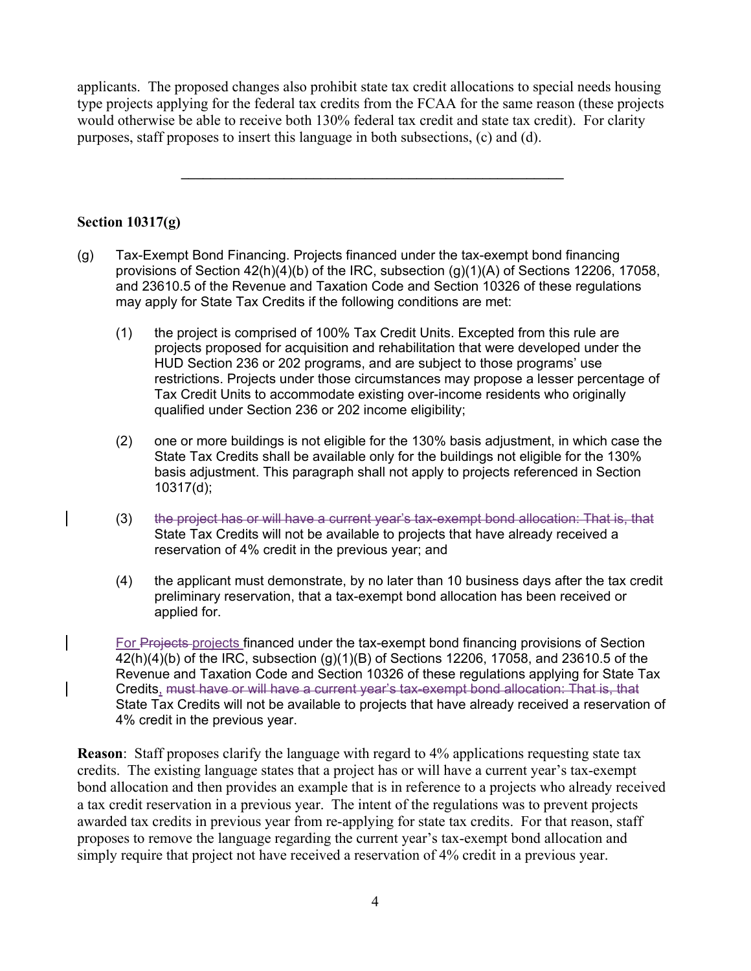applicants. The proposed changes also prohibit state tax credit allocations to special needs housing type projects applying for the federal tax credits from the FCAA for the same reason (these projects would otherwise be able to receive both 130% federal tax credit and state tax credit). For clarity purposes, staff proposes to insert this language in both subsections, (c) and (d).

 $\mathcal{L}_\mathcal{L} = \{ \mathcal{L}_\mathcal{L} = \{ \mathcal{L}_\mathcal{L} \}$ 

#### **Section 10317(g)**

- (g) Tax-Exempt Bond Financing. Projects financed under the tax-exempt bond financing provisions of Section 42(h)(4)(b) of the IRC, subsection (g)(1)(A) of Sections 12206, 17058, and 23610.5 of the Revenue and Taxation Code and Section 10326 of these regulations may apply for State Tax Credits if the following conditions are met:
	- (1) the project is comprised of 100% Tax Credit Units. Excepted from this rule are projects proposed for acquisition and rehabilitation that were developed under the HUD Section 236 or 202 programs, and are subject to those programs' use restrictions. Projects under those circumstances may propose a lesser percentage of Tax Credit Units to accommodate existing over-income residents who originally qualified under Section 236 or 202 income eligibility;
	- (2) one or more buildings is not eligible for the 130% basis adjustment, in which case the State Tax Credits shall be available only for the buildings not eligible for the 130% basis adjustment. This paragraph shall not apply to projects referenced in Section 10317(d);
	- (3) the project has or will have a current year's tax-exempt bond allocation: That is, that State Tax Credits will not be available to projects that have already received a reservation of 4% credit in the previous year; and
	- (4) the applicant must demonstrate, by no later than 10 business days after the tax credit preliminary reservation, that a tax-exempt bond allocation has been received or applied for.

For Projects-projects financed under the tax-exempt bond financing provisions of Section 42(h)(4)(b) of the IRC, subsection (g)(1)(B) of Sections 12206, 17058, and 23610.5 of the Revenue and Taxation Code and Section 10326 of these regulations applying for State Tax Credits, must have or will have a current year's tax-exempt bond allocation: That is, that State Tax Credits will not be available to projects that have already received a reservation of 4% credit in the previous year.

**Reason**: Staff proposes clarify the language with regard to 4% applications requesting state tax credits. The existing language states that a project has or will have a current year's tax-exempt bond allocation and then provides an example that is in reference to a projects who already received a tax credit reservation in a previous year. The intent of the regulations was to prevent projects awarded tax credits in previous year from re-applying for state tax credits. For that reason, staff proposes to remove the language regarding the current year's tax-exempt bond allocation and simply require that project not have received a reservation of 4% credit in a previous year.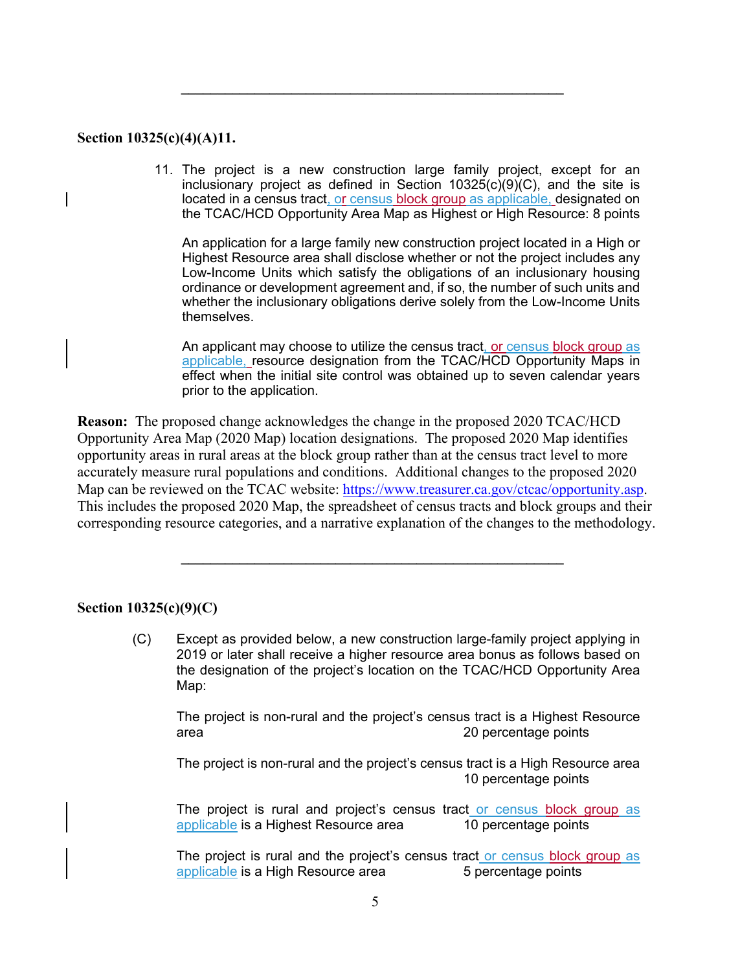#### **Section 10325(c)(4)(A)11.**

11. The project is a new construction large family project, except for an inclusionary project as defined in Section 10325(c)(9)(C), and the site is located in a census tract, or census block group as applicable, designated on the TCAC/HCD Opportunity Area Map as Highest or High Resource: 8 points

 $\mathcal{L}_\mathcal{L} = \{ \mathcal{L}_\mathcal{L} = \{ \mathcal{L}_\mathcal{L} \}$ 

An application for a large family new construction project located in a High or Highest Resource area shall disclose whether or not the project includes any Low-Income Units which satisfy the obligations of an inclusionary housing ordinance or development agreement and, if so, the number of such units and whether the inclusionary obligations derive solely from the Low-Income Units themselves.

An applicant may choose to utilize the census tract, or census block group as applicable, resource designation from the TCAC/HCD Opportunity Maps in effect when the initial site control was obtained up to seven calendar years prior to the application.

**Reason:** The proposed change acknowledges the change in the proposed 2020 TCAC/HCD Opportunity Area Map (2020 Map) location designations. The proposed 2020 Map identifies opportunity areas in rural areas at the block group rather than at the census tract level to more accurately measure rural populations and conditions. Additional changes to the proposed 2020 Map can be reviewed on the TCAC website: https://www.treasurer.ca.gov/ctcac/opportunity.asp. This includes the proposed 2020 Map, the spreadsheet of census tracts and block groups and their corresponding resource categories, and a narrative explanation of the changes to the methodology.

**\_\_\_\_\_\_\_\_\_\_\_\_\_\_\_\_\_\_\_\_\_\_\_\_\_\_\_\_\_\_\_\_\_\_\_\_\_\_\_\_\_\_\_\_\_\_\_\_\_\_\_\_** 

#### **Section 10325(c)(9)(C)**

(C) Except as provided below, a new construction large-family project applying in 2019 or later shall receive a higher resource area bonus as follows based on the designation of the project's location on the TCAC/HCD Opportunity Area Map:

The project is non-rural and the project's census tract is a Highest Resource area 20 percentage points

The project is non-rural and the project's census tract is a High Resource area 10 percentage points

The project is rural and project's census tract or census block group as applicable is a Highest Resource area 10 percentage points

The project is rural and the project's census tract or census block group as applicable is a High Resource area  $\overline{\phantom{a}}$  5 percentage points applicable is a High Resource area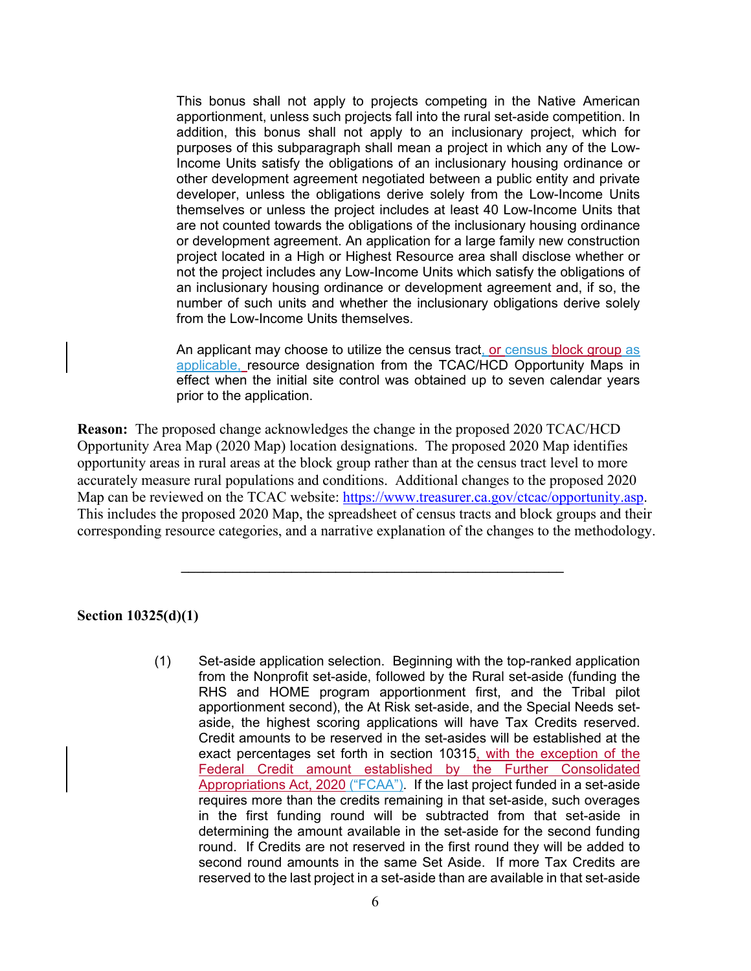This bonus shall not apply to projects competing in the Native American apportionment, unless such projects fall into the rural set-aside competition. In addition, this bonus shall not apply to an inclusionary project, which for purposes of this subparagraph shall mean a project in which any of the Low-Income Units satisfy the obligations of an inclusionary housing ordinance or other development agreement negotiated between a public entity and private developer, unless the obligations derive solely from the Low-Income Units themselves or unless the project includes at least 40 Low-Income Units that are not counted towards the obligations of the inclusionary housing ordinance or development agreement. An application for a large family new construction project located in a High or Highest Resource area shall disclose whether or not the project includes any Low-Income Units which satisfy the obligations of an inclusionary housing ordinance or development agreement and, if so, the number of such units and whether the inclusionary obligations derive solely from the Low-Income Units themselves.

An applicant may choose to utilize the census tract, or census block group as applicable, resource designation from the TCAC/HCD Opportunity Maps in effect when the initial site control was obtained up to seven calendar years prior to the application.

**Reason:** The proposed change acknowledges the change in the proposed 2020 TCAC/HCD Opportunity Area Map (2020 Map) location designations. The proposed 2020 Map identifies opportunity areas in rural areas at the block group rather than at the census tract level to more accurately measure rural populations and conditions. Additional changes to the proposed 2020 Map can be reviewed on the TCAC website: https://www.treasurer.ca.gov/ctcac/opportunity.asp. This includes the proposed 2020 Map, the spreadsheet of census tracts and block groups and their corresponding resource categories, and a narrative explanation of the changes to the methodology.

**\_\_\_\_\_\_\_\_\_\_\_\_\_\_\_\_\_\_\_\_\_\_\_\_\_\_\_\_\_\_\_\_\_\_\_\_\_\_\_\_\_\_\_\_\_\_\_\_\_\_\_\_** 

#### **Section 10325(d)(1)**

(1) Set-aside application selection. Beginning with the top-ranked application from the Nonprofit set-aside, followed by the Rural set-aside (funding the RHS and HOME program apportionment first, and the Tribal pilot apportionment second), the At Risk set-aside, and the Special Needs setaside, the highest scoring applications will have Tax Credits reserved. Credit amounts to be reserved in the set-asides will be established at the exact percentages set forth in section 10315, with the exception of the Federal Credit amount established by the Further Consolidated Appropriations Act, 2020 ("FCAA"). If the last project funded in a set-aside requires more than the credits remaining in that set-aside, such overages in the first funding round will be subtracted from that set-aside in determining the amount available in the set-aside for the second funding round. If Credits are not reserved in the first round they will be added to second round amounts in the same Set Aside. If more Tax Credits are reserved to the last project in a set-aside than are available in that set-aside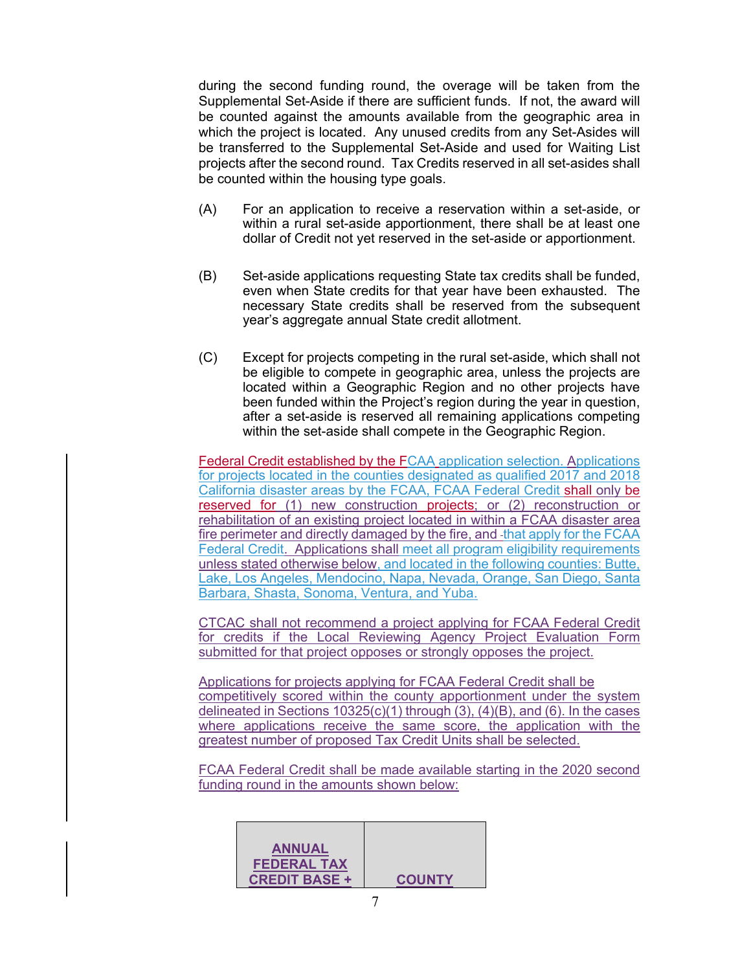during the second funding round, the overage will be taken from the Supplemental Set-Aside if there are sufficient funds. If not, the award will be counted against the amounts available from the geographic area in which the project is located. Any unused credits from any Set-Asides will be transferred to the Supplemental Set-Aside and used for Waiting List projects after the second round. Tax Credits reserved in all set-asides shall be counted within the housing type goals.

- (A) For an application to receive a reservation within a set-aside, or within a rural set-aside apportionment, there shall be at least one dollar of Credit not yet reserved in the set-aside or apportionment.
- (B) Set-aside applications requesting State tax credits shall be funded, even when State credits for that year have been exhausted. The necessary State credits shall be reserved from the subsequent year's aggregate annual State credit allotment.
- (C) Except for projects competing in the rural set-aside, which shall not be eligible to compete in geographic area, unless the projects are located within a Geographic Region and no other projects have been funded within the Project's region during the year in question, after a set-aside is reserved all remaining applications competing within the set-aside shall compete in the Geographic Region.

Federal Credit established by the FCAA application selection. Applications for projects located in the counties designated as qualified 2017 and 2018 California disaster areas by the FCAA, FCAA Federal Credit shall only be reserved for (1) new construction projects; or (2) reconstruction or rehabilitation of an existing project located in within a FCAA disaster area fire perimeter and directly damaged by the fire, and that apply for the FCAA Federal Credit. Applications shall meet all program eligibility requirements unless stated otherwise below, and located in the following counties: Butte, Lake, Los Angeles, Mendocino, Napa, Nevada, Orange, San Diego, Santa Barbara, Shasta, Sonoma, Ventura, and Yuba.

CTCAC shall not recommend a project applying for FCAA Federal Credit for credits if the Local Reviewing Agency Project Evaluation Form submitted for that project opposes or strongly opposes the project.

Applications for projects applying for FCAA Federal Credit shall be competitively scored within the county apportionment under the system delineated in Sections  $10325(c)(1)$  through  $(3)$ ,  $(4)(B)$ , and  $(6)$ . In the cases where applications receive the same score, the application with the greatest number of proposed Tax Credit Units shall be selected.

FCAA Federal Credit shall be made available starting in the 2020 second funding round in the amounts shown below:

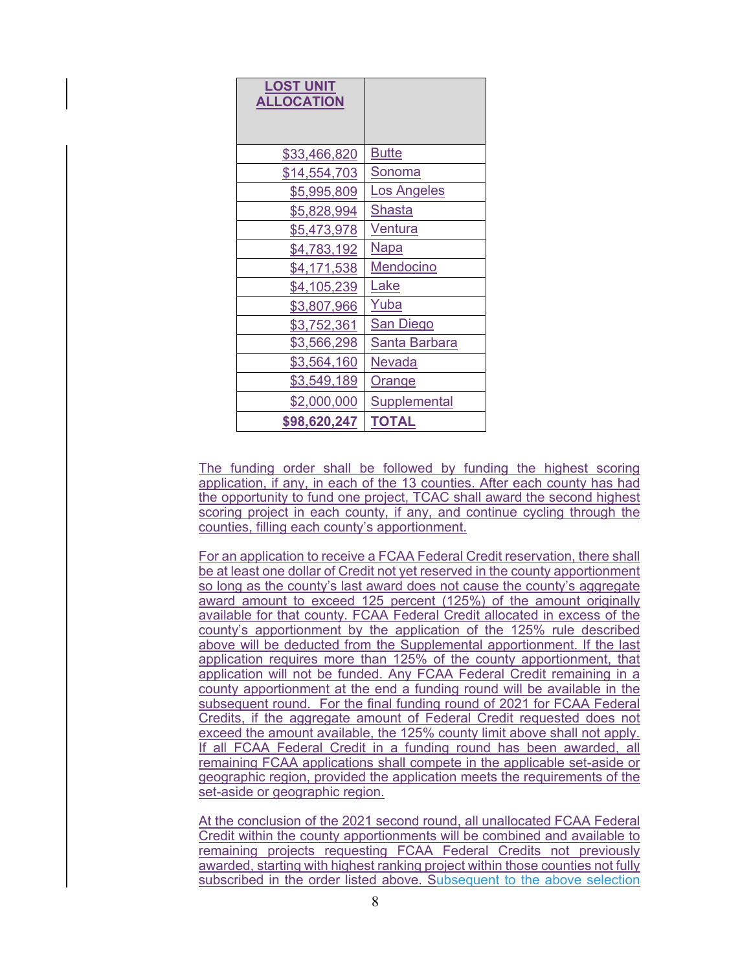| <b>LOST UNIT</b><br><b>ALLOCATION</b> |                      |
|---------------------------------------|----------------------|
| \$33,466,820                          | <b>Butte</b>         |
| \$14,554,703                          | <u>Sonoma</u>        |
| \$5,995,809                           | Los Angeles          |
| \$5,828,994                           | Shasta               |
| \$5,473,978                           | <u>Ventura</u>       |
| \$4,783,192                           | <u>Napa</u>          |
| \$4,171,538                           | Mendocino            |
| \$4,105,239                           | <u>Lake</u>          |
| \$3,807,966                           | Yuba                 |
| \$3,752,361                           | <b>San Diego</b>     |
| \$3,566,298                           | <u>Santa Barbara</u> |
| \$3,564,160                           | <b>Nevada</b>        |
| \$3,549,189                           | <u>Orange</u>        |
| \$2,000,000                           | <b>Supplemental</b>  |
| \$98,620,247                          | <b>TOTAL</b>         |

The funding order shall be followed by funding the highest scoring application, if any, in each of the 13 counties. After each county has had the opportunity to fund one project, TCAC shall award the second highest scoring project in each county, if any, and continue cycling through the counties, filling each county's apportionment.

For an application to receive a FCAA Federal Credit reservation, there shall be at least one dollar of Credit not yet reserved in the county apportionment so long as the county's last award does not cause the county's aggregate award amount to exceed 125 percent (125%) of the amount originally available for that county. FCAA Federal Credit allocated in excess of the county's apportionment by the application of the 125% rule described above will be deducted from the Supplemental apportionment. If the last application requires more than 125% of the county apportionment, that application will not be funded. Any FCAA Federal Credit remaining in a county apportionment at the end a funding round will be available in the subsequent round. For the final funding round of 2021 for FCAA Federal Credits, if the aggregate amount of Federal Credit requested does not exceed the amount available, the 125% county limit above shall not apply. If all FCAA Federal Credit in a funding round has been awarded, all remaining FCAA applications shall compete in the applicable set-aside or geographic region, provided the application meets the requirements of the set-aside or geographic region.

At the conclusion of the 2021 second round, all unallocated FCAA Federal Credit within the county apportionments will be combined and available to remaining projects requesting FCAA Federal Credits not previously awarded, starting with highest ranking project within those counties not fully subscribed in the order listed above. Subsequent to the above selection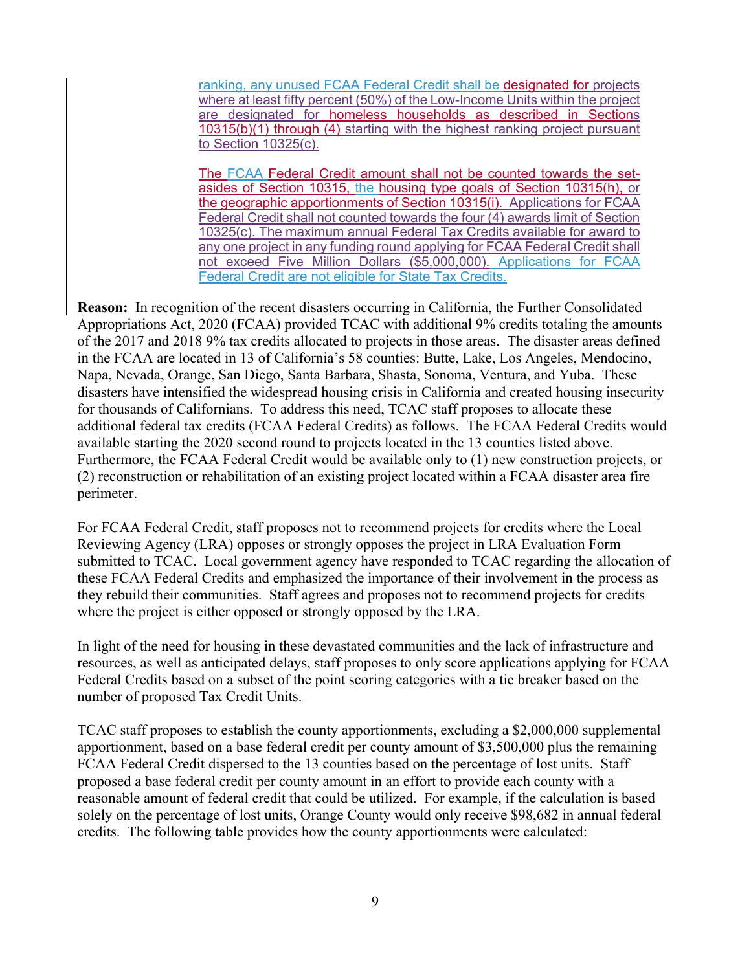ranking, any unused FCAA Federal Credit shall be designated for projects where at least fifty percent (50%) of the Low-Income Units within the project are designated for homeless households as described in Sections 10315(b)(1) through (4) starting with the highest ranking project pursuant to Section 10325(c).

The FCAA Federal Credit amount shall not be counted towards the setasides of Section 10315, the housing type goals of Section 10315(h), or the geographic apportionments of Section 10315(i). Applications for FCAA Federal Credit shall not counted towards the four (4) awards limit of Section 10325(c). The maximum annual Federal Tax Credits available for award to any one project in any funding round applying for FCAA Federal Credit shall not exceed Five Million Dollars (\$5,000,000). Applications for FCAA Federal Credit are not eligible for State Tax Credits.

**Reason:** In recognition of the recent disasters occurring in California, the Further Consolidated Appropriations Act, 2020 (FCAA) provided TCAC with additional 9% credits totaling the amounts of the 2017 and 2018 9% tax credits allocated to projects in those areas. The disaster areas defined in the FCAA are located in 13 of California's 58 counties: Butte, Lake, Los Angeles, Mendocino, Napa, Nevada, Orange, San Diego, Santa Barbara, Shasta, Sonoma, Ventura, and Yuba. These disasters have intensified the widespread housing crisis in California and created housing insecurity for thousands of Californians. To address this need, TCAC staff proposes to allocate these additional federal tax credits (FCAA Federal Credits) as follows. The FCAA Federal Credits would available starting the 2020 second round to projects located in the 13 counties listed above. Furthermore, the FCAA Federal Credit would be available only to (1) new construction projects, or (2) reconstruction or rehabilitation of an existing project located within a FCAA disaster area fire perimeter.

For FCAA Federal Credit, staff proposes not to recommend projects for credits where the Local Reviewing Agency (LRA) opposes or strongly opposes the project in LRA Evaluation Form submitted to TCAC. Local government agency have responded to TCAC regarding the allocation of these FCAA Federal Credits and emphasized the importance of their involvement in the process as they rebuild their communities. Staff agrees and proposes not to recommend projects for credits where the project is either opposed or strongly opposed by the LRA.

In light of the need for housing in these devastated communities and the lack of infrastructure and resources, as well as anticipated delays, staff proposes to only score applications applying for FCAA Federal Credits based on a subset of the point scoring categories with a tie breaker based on the number of proposed Tax Credit Units.

TCAC staff proposes to establish the county apportionments, excluding a \$2,000,000 supplemental apportionment, based on a base federal credit per county amount of \$3,500,000 plus the remaining FCAA Federal Credit dispersed to the 13 counties based on the percentage of lost units. Staff proposed a base federal credit per county amount in an effort to provide each county with a reasonable amount of federal credit that could be utilized. For example, if the calculation is based solely on the percentage of lost units, Orange County would only receive \$98,682 in annual federal credits. The following table provides how the county apportionments were calculated: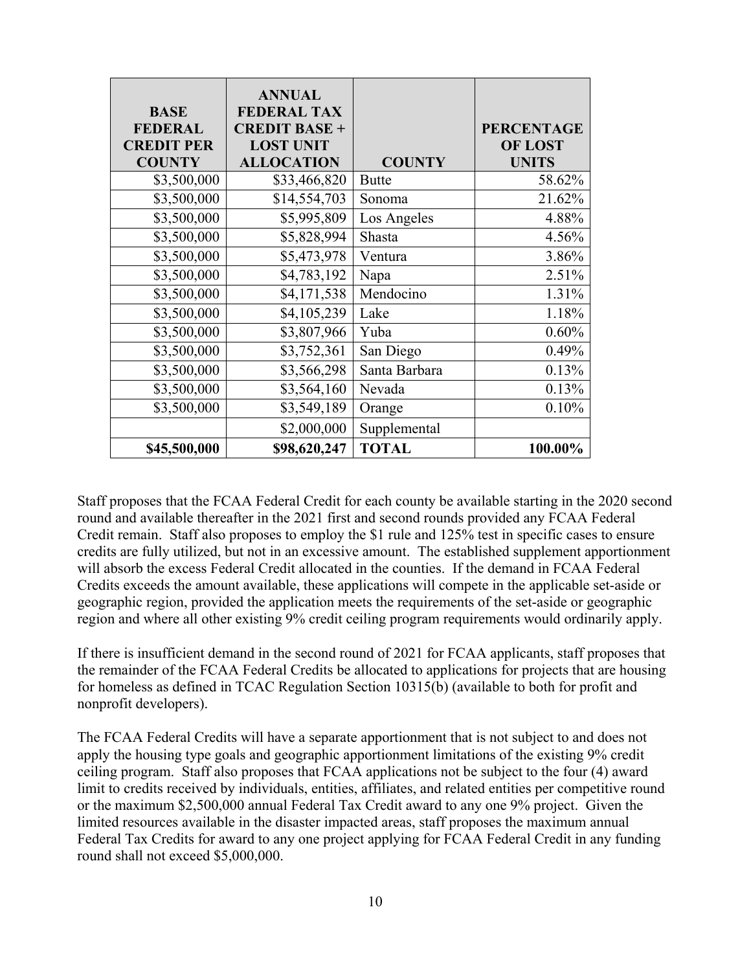| <b>BASE</b><br><b>FEDERAL</b><br><b>CREDIT PER</b><br><b>COUNTY</b> | <b>ANNUAL</b><br><b>FEDERAL TAX</b><br><b>CREDIT BASE +</b><br><b>LOST UNIT</b><br><b>ALLOCATION</b> | <b>COUNTY</b> | <b>PERCENTAGE</b><br><b>OF LOST</b><br><b>UNITS</b> |
|---------------------------------------------------------------------|------------------------------------------------------------------------------------------------------|---------------|-----------------------------------------------------|
| \$3,500,000                                                         | \$33,466,820                                                                                         | <b>Butte</b>  | 58.62%                                              |
| \$3,500,000                                                         | \$14,554,703                                                                                         | Sonoma        | 21.62%                                              |
| \$3,500,000                                                         | \$5,995,809                                                                                          | Los Angeles   | 4.88%                                               |
| \$3,500,000                                                         | \$5,828,994                                                                                          | Shasta        | 4.56%                                               |
| \$3,500,000                                                         | \$5,473,978                                                                                          | Ventura       | 3.86%                                               |
| \$3,500,000                                                         | \$4,783,192                                                                                          | Napa          | 2.51%                                               |
| \$3,500,000                                                         | \$4,171,538                                                                                          | Mendocino     | 1.31%                                               |
| \$3,500,000                                                         | \$4,105,239                                                                                          | Lake          | 1.18%                                               |
| \$3,500,000                                                         | \$3,807,966                                                                                          | Yuba          | 0.60%                                               |
| \$3,500,000                                                         | \$3,752,361                                                                                          | San Diego     | 0.49%                                               |
| \$3,500,000                                                         | \$3,566,298                                                                                          | Santa Barbara | 0.13%                                               |
| \$3,500,000                                                         | \$3,564,160                                                                                          | Nevada        | 0.13%                                               |
| \$3,500,000                                                         | \$3,549,189                                                                                          | Orange        | 0.10%                                               |
|                                                                     | \$2,000,000                                                                                          | Supplemental  |                                                     |
| \$45,500,000                                                        | \$98,620,247                                                                                         | <b>TOTAL</b>  | 100.00%                                             |

Staff proposes that the FCAA Federal Credit for each county be available starting in the 2020 second round and available thereafter in the 2021 first and second rounds provided any FCAA Federal Credit remain. Staff also proposes to employ the \$1 rule and 125% test in specific cases to ensure credits are fully utilized, but not in an excessive amount. The established supplement apportionment will absorb the excess Federal Credit allocated in the counties. If the demand in FCAA Federal Credits exceeds the amount available, these applications will compete in the applicable set-aside or geographic region, provided the application meets the requirements of the set-aside or geographic region and where all other existing 9% credit ceiling program requirements would ordinarily apply.

If there is insufficient demand in the second round of 2021 for FCAA applicants, staff proposes that the remainder of the FCAA Federal Credits be allocated to applications for projects that are housing for homeless as defined in TCAC Regulation Section 10315(b) (available to both for profit and nonprofit developers).

The FCAA Federal Credits will have a separate apportionment that is not subject to and does not apply the housing type goals and geographic apportionment limitations of the existing 9% credit ceiling program. Staff also proposes that FCAA applications not be subject to the four (4) award limit to credits received by individuals, entities, affiliates, and related entities per competitive round or the maximum \$2,500,000 annual Federal Tax Credit award to any one 9% project. Given the limited resources available in the disaster impacted areas, staff proposes the maximum annual Federal Tax Credits for award to any one project applying for FCAA Federal Credit in any funding round shall not exceed \$5,000,000.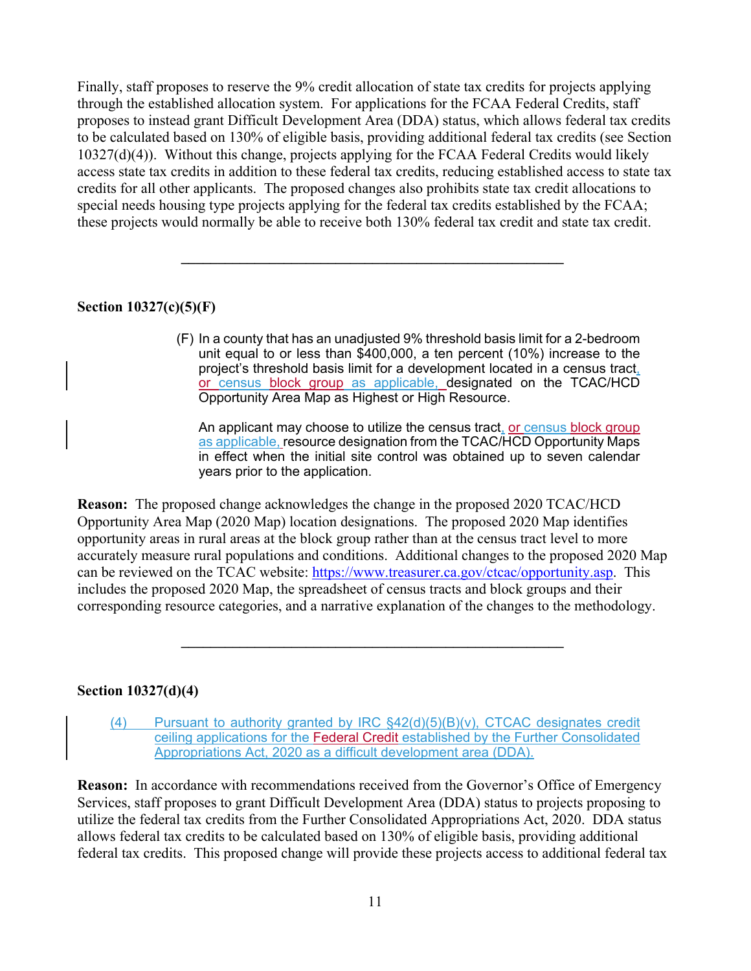Finally, staff proposes to reserve the 9% credit allocation of state tax credits for projects applying through the established allocation system. For applications for the FCAA Federal Credits, staff proposes to instead grant Difficult Development Area (DDA) status, which allows federal tax credits to be calculated based on 130% of eligible basis, providing additional federal tax credits (see Section 10327(d)(4)). Without this change, projects applying for the FCAA Federal Credits would likely access state tax credits in addition to these federal tax credits, reducing established access to state tax credits for all other applicants. The proposed changes also prohibits state tax credit allocations to special needs housing type projects applying for the federal tax credits established by the FCAA; these projects would normally be able to receive both 130% federal tax credit and state tax credit.

 $\mathcal{L}_\mathcal{L} = \{ \mathcal{L}_\mathcal{L} = \{ \mathcal{L}_\mathcal{L} \}$ 

## **Section 10327(c)(5)(F)**

(F) In a county that has an unadjusted 9% threshold basis limit for a 2-bedroom unit equal to or less than \$400,000, a ten percent (10%) increase to the project's threshold basis limit for a development located in a census tract, or census block group as applicable, designated on the TCAC/HCD Opportunity Area Map as Highest or High Resource.

An applicant may choose to utilize the census tract, or census block group as applicable, resource designation from the TCAC/HCD Opportunity Maps in effect when the initial site control was obtained up to seven calendar years prior to the application.

**Reason:** The proposed change acknowledges the change in the proposed 2020 TCAC/HCD Opportunity Area Map (2020 Map) location designations. The proposed 2020 Map identifies opportunity areas in rural areas at the block group rather than at the census tract level to more accurately measure rural populations and conditions. Additional changes to the proposed 2020 Map can be reviewed on the TCAC website: https://www.treasurer.ca.gov/ctcac/opportunity.asp. This includes the proposed 2020 Map, the spreadsheet of census tracts and block groups and their corresponding resource categories, and a narrative explanation of the changes to the methodology.

 $\mathcal{L}_\mathcal{L} = \{ \mathcal{L}_\mathcal{L} = \{ \mathcal{L}_\mathcal{L} \}$ 

#### **Section 10327(d)(4)**

(4) Pursuant to authority granted by IRC  $\S$ 42(d)(5)(B)(v), CTCAC designates credit ceiling applications for the Federal Credit established by the Further Consolidated Appropriations Act, 2020 as a difficult development area (DDA).

**Reason:** In accordance with recommendations received from the Governor's Office of Emergency Services, staff proposes to grant Difficult Development Area (DDA) status to projects proposing to utilize the federal tax credits from the Further Consolidated Appropriations Act, 2020. DDA status allows federal tax credits to be calculated based on 130% of eligible basis, providing additional federal tax credits. This proposed change will provide these projects access to additional federal tax